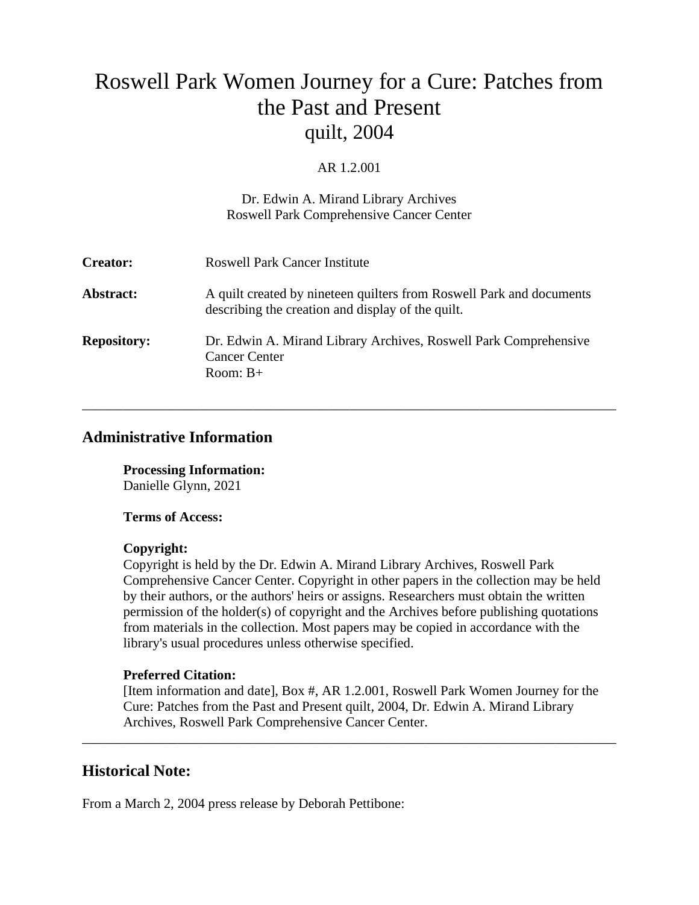# Roswell Park Women Journey for a Cure: Patches from the Past and Present quilt, 2004

#### AR 1.2.001

#### Dr. Edwin A. Mirand Library Archives Roswell Park Comprehensive Cancer Center

| <b>Creator:</b>    | <b>Roswell Park Cancer Institute</b>                                                                                      |
|--------------------|---------------------------------------------------------------------------------------------------------------------------|
| Abstract:          | A quilt created by nineteen quilters from Roswell Park and documents<br>describing the creation and display of the quilt. |
| <b>Repository:</b> | Dr. Edwin A. Mirand Library Archives, Roswell Park Comprehensive<br><b>Cancer Center</b><br>Room: $B+$                    |

\_\_\_\_\_\_\_\_\_\_\_\_\_\_\_\_\_\_\_\_\_\_\_\_\_\_\_\_\_\_\_\_\_\_\_\_\_\_\_\_\_\_\_\_\_\_\_\_\_\_\_\_\_\_\_\_\_\_\_\_\_\_\_\_\_\_\_\_\_\_\_\_\_\_\_\_\_\_

# **Administrative Information**

**Processing Information:** Danielle Glynn, 2021

#### **Terms of Access:**

#### **Copyright:**

Copyright is held by the Dr. Edwin A. Mirand Library Archives, Roswell Park Comprehensive Cancer Center. Copyright in other papers in the collection may be held by their authors, or the authors' heirs or assigns. Researchers must obtain the written permission of the holder(s) of copyright and the Archives before publishing quotations from materials in the collection. Most papers may be copied in accordance with the library's usual procedures unless otherwise specified.

## **Preferred Citation:**

[Item information and date], Box #, AR 1.2.001, Roswell Park Women Journey for the Cure: Patches from the Past and Present quilt, 2004, Dr. Edwin A. Mirand Library Archives, Roswell Park Comprehensive Cancer Center.

\_\_\_\_\_\_\_\_\_\_\_\_\_\_\_\_\_\_\_\_\_\_\_\_\_\_\_\_\_\_\_\_\_\_\_\_\_\_\_\_\_\_\_\_\_\_\_\_\_\_\_\_\_\_\_\_\_\_\_\_\_\_\_\_\_\_\_\_\_\_\_\_\_\_\_\_\_\_

## **Historical Note:**

From a March 2, 2004 press release by Deborah Pettibone: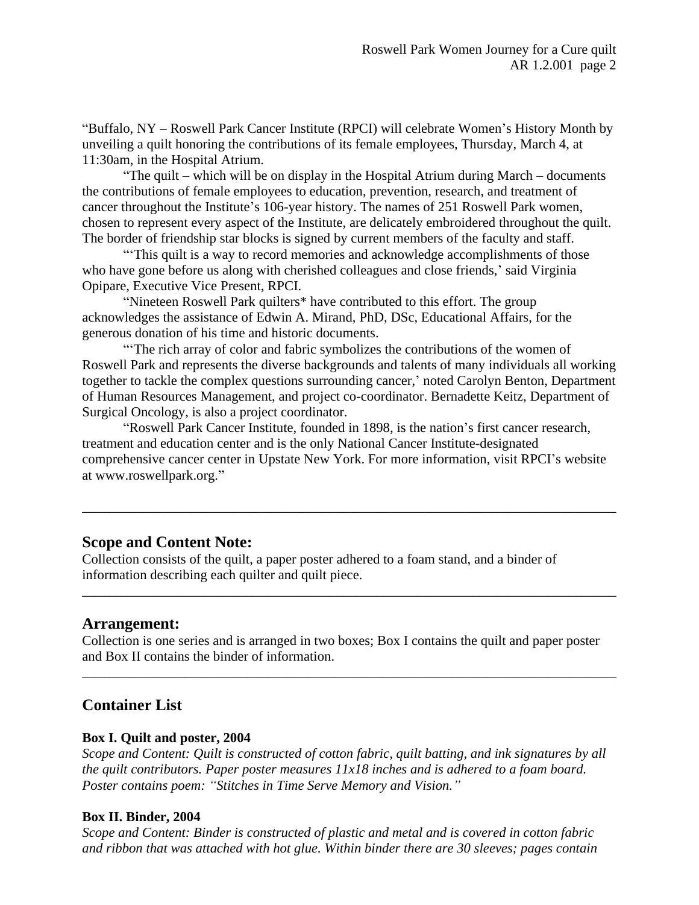"Buffalo, NY – Roswell Park Cancer Institute (RPCI) will celebrate Women's History Month by unveiling a quilt honoring the contributions of its female employees, Thursday, March 4, at 11:30am, in the Hospital Atrium.

"The quilt – which will be on display in the Hospital Atrium during March – documents the contributions of female employees to education, prevention, research, and treatment of cancer throughout the Institute's 106-year history. The names of 251 Roswell Park women, chosen to represent every aspect of the Institute, are delicately embroidered throughout the quilt. The border of friendship star blocks is signed by current members of the faculty and staff.

"'This quilt is a way to record memories and acknowledge accomplishments of those who have gone before us along with cherished colleagues and close friends,' said Virginia Opipare, Executive Vice Present, RPCI.

"Nineteen Roswell Park quilters\* have contributed to this effort. The group acknowledges the assistance of Edwin A. Mirand, PhD, DSc, Educational Affairs, for the generous donation of his time and historic documents.

"The rich array of color and fabric symbolizes the contributions of the women of Roswell Park and represents the diverse backgrounds and talents of many individuals all working together to tackle the complex questions surrounding cancer,' noted Carolyn Benton, Department of Human Resources Management, and project co-coordinator. Bernadette Keitz, Department of Surgical Oncology, is also a project coordinator.

"Roswell Park Cancer Institute, founded in 1898, is the nation's first cancer research, treatment and education center and is the only National Cancer Institute-designated comprehensive cancer center in Upstate New York. For more information, visit RPCI's website at www.roswellpark.org."

\_\_\_\_\_\_\_\_\_\_\_\_\_\_\_\_\_\_\_\_\_\_\_\_\_\_\_\_\_\_\_\_\_\_\_\_\_\_\_\_\_\_\_\_\_\_\_\_\_\_\_\_\_\_\_\_\_\_\_\_\_\_\_\_\_\_\_\_\_\_\_\_\_\_\_\_\_\_

\_\_\_\_\_\_\_\_\_\_\_\_\_\_\_\_\_\_\_\_\_\_\_\_\_\_\_\_\_\_\_\_\_\_\_\_\_\_\_\_\_\_\_\_\_\_\_\_\_\_\_\_\_\_\_\_\_\_\_\_\_\_\_\_\_\_\_\_\_\_\_\_\_\_\_\_\_\_

## **Scope and Content Note:**

Collection consists of the quilt, a paper poster adhered to a foam stand, and a binder of information describing each quilter and quilt piece.

## **Arrangement:**

Collection is one series and is arranged in two boxes; Box I contains the quilt and paper poster and Box II contains the binder of information.

\_\_\_\_\_\_\_\_\_\_\_\_\_\_\_\_\_\_\_\_\_\_\_\_\_\_\_\_\_\_\_\_\_\_\_\_\_\_\_\_\_\_\_\_\_\_\_\_\_\_\_\_\_\_\_\_\_\_\_\_\_\_\_\_\_\_\_\_\_\_\_\_\_\_\_\_\_\_

# **Container List**

#### **Box I. Quilt and poster, 2004**

*Scope and Content: Quilt is constructed of cotton fabric, quilt batting, and ink signatures by all the quilt contributors. Paper poster measures 11x18 inches and is adhered to a foam board. Poster contains poem: "Stitches in Time Serve Memory and Vision."*

#### **Box II. Binder, 2004**

*Scope and Content: Binder is constructed of plastic and metal and is covered in cotton fabric and ribbon that was attached with hot glue. Within binder there are 30 sleeves; pages contain*